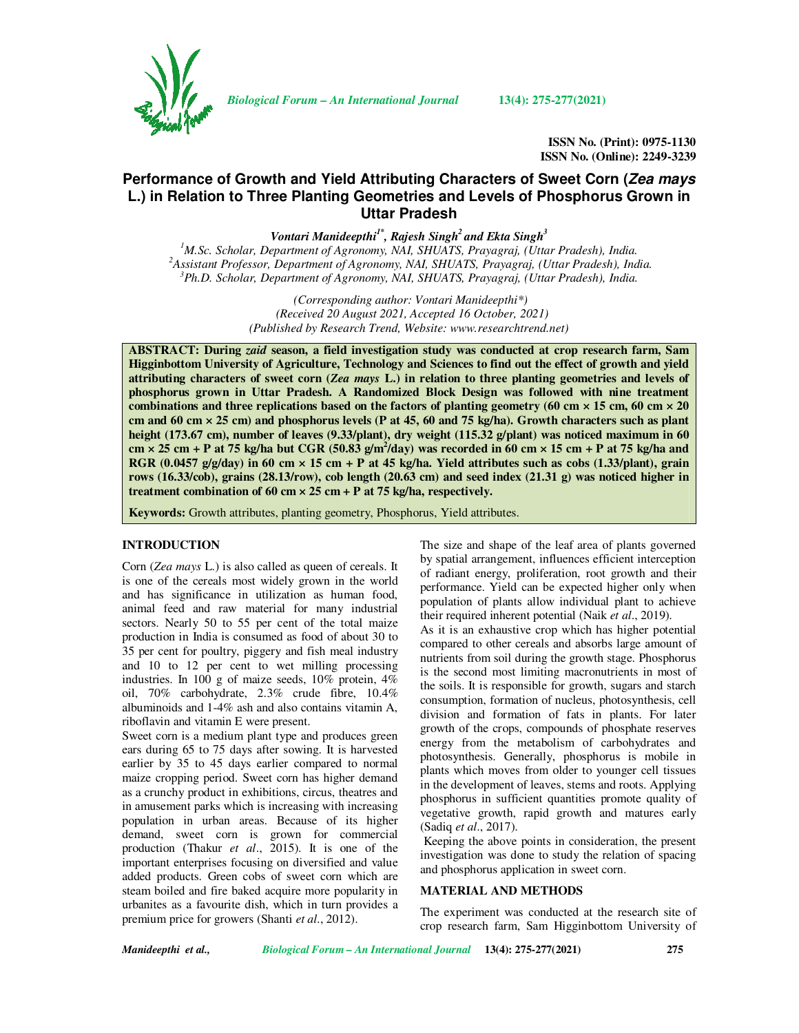

*Biological Forum – An International Journal* **13(4): 275-277(2021)**

**ISSN No. (Print): 0975-1130 ISSN No. (Online): 2249-3239** 

# **Performance of Growth and Yield Attributing Characters of Sweet Corn (Zea mays L.) in Relation to Three Planting Geometries and Levels of Phosphorus Grown in Uttar Pradesh**

*Vontari Manideepthi1\*, Rajesh Singh<sup>2</sup>and Ekta Singh<sup>3</sup>*

*<sup>1</sup>M.Sc. Scholar, Department of Agronomy, NAI, SHUATS, Prayagraj, (Uttar Pradesh), India. <sup>2</sup>Assistant Professor, Department of Agronomy, NAI, SHUATS, Prayagraj, (Uttar Pradesh), India. <sup>3</sup>Ph.D. Scholar, Department of Agronomy, NAI, SHUATS, Prayagraj, (Uttar Pradesh), India.* 

> *(Corresponding author: Vontari Manideepthi\*) (Received 20 August 2021, Accepted 16 October, 2021) (Published by Research Trend, Website: www.researchtrend.net)*

**ABSTRACT: During** *zaid* **season, a field investigation study was conducted at crop research farm, Sam Higginbottom University of Agriculture, Technology and Sciences to find out the effect of growth and yield attributing characters of sweet corn (***Zea mays* **L.) in relation to three planting geometries and levels of phosphorus grown in Uttar Pradesh. A Randomized Block Design was followed with nine treatment combinations and three replications based on the factors of planting geometry (60 cm × 15 cm, 60 cm × 20 cm and 60 cm × 25 cm) and phosphorus levels (P at 45, 60 and 75 kg/ha). Growth characters such as plant height (173.67 cm), number of leaves (9.33/plant), dry weight (115.32 g/plant) was noticed maximum in 60**   $cm \times 25$  cm + P at 75 kg/ha but CGR (50.83 g/m<sup>2</sup>/day) was recorded in 60 cm  $\times$  15 cm + P at 75 kg/ha and **RGR (0.0457 g/g/day) in 60 cm × 15 cm + P at 45 kg/ha. Yield attributes such as cobs (1.33/plant), grain rows (16.33/cob), grains (28.13/row), cob length (20.63 cm) and seed index (21.31 g) was noticed higher in treatment combination of 60 cm × 25 cm + P at 75 kg/ha, respectively.**

**Keywords:** Growth attributes, planting geometry, Phosphorus, Yield attributes.

# **INTRODUCTION**

Corn (*Zea mays* L.) is also called as queen of cereals. It is one of the cereals most widely grown in the world and has significance in utilization as human food, animal feed and raw material for many industrial sectors. Nearly 50 to 55 per cent of the total maize production in India is consumed as food of about 30 to 35 per cent for poultry, piggery and fish meal industry and 10 to 12 per cent to wet milling processing industries. In 100 g of maize seeds, 10% protein, 4% oil, 70% carbohydrate, 2.3% crude fibre, 10.4% albuminoids and 1-4% ash and also contains vitamin A, riboflavin and vitamin E were present.

Sweet corn is a medium plant type and produces green ears during 65 to 75 days after sowing. It is harvested earlier by 35 to 45 days earlier compared to normal maize cropping period. Sweet corn has higher demand as a crunchy product in exhibitions, circus, theatres and in amusement parks which is increasing with increasing population in urban areas. Because of its higher demand, sweet corn is grown for commercial production (Thakur *et al*., 2015). It is one of the important enterprises focusing on diversified and value added products. Green cobs of sweet corn which are steam boiled and fire baked acquire more popularity in urbanites as a favourite dish, which in turn provides a premium price for growers (Shanti *et al*., 2012).

The size and shape of the leaf area of plants governed by spatial arrangement, influences efficient interception of radiant energy, proliferation, root growth and their performance. Yield can be expected higher only when population of plants allow individual plant to achieve their required inherent potential (Naik *et al*., 2019).

As it is an exhaustive crop which has higher potential compared to other cereals and absorbs large amount of nutrients from soil during the growth stage. Phosphorus is the second most limiting macronutrients in most of the soils. It is responsible for growth, sugars and starch consumption, formation of nucleus, photosynthesis, cell division and formation of fats in plants. For later growth of the crops, compounds of phosphate reserves energy from the metabolism of carbohydrates and photosynthesis. Generally, phosphorus is mobile in plants which moves from older to younger cell tissues in the development of leaves, stems and roots. Applying phosphorus in sufficient quantities promote quality of vegetative growth, rapid growth and matures early (Sadiq *et al*., 2017).

 Keeping the above points in consideration, the present investigation was done to study the relation of spacing and phosphorus application in sweet corn.

### **MATERIAL AND METHODS**

The experiment was conducted at the research site of crop research farm, Sam Higginbottom University of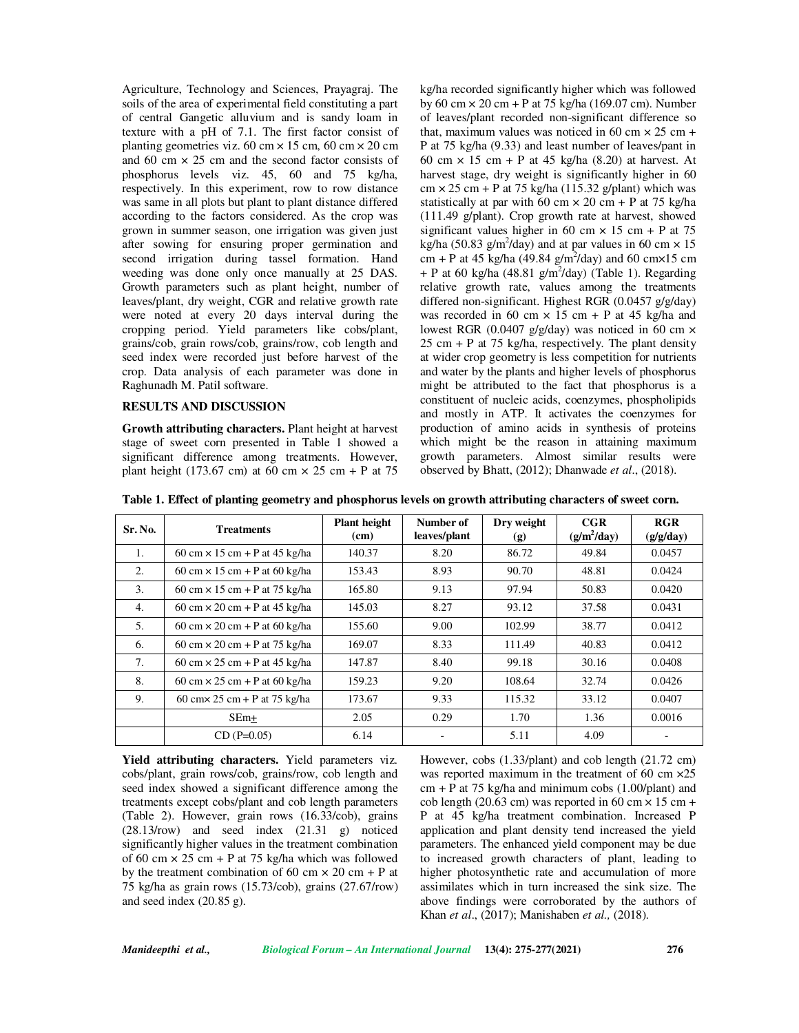Agriculture, Technology and Sciences, Prayagraj. The soils of the area of experimental field constituting a part of central Gangetic alluvium and is sandy loam in texture with a pH of 7.1. The first factor consist of planting geometries viz.  $60 \text{ cm} \times 15 \text{ cm}$ ,  $60 \text{ cm} \times 20 \text{ cm}$ and 60 cm  $\times$  25 cm and the second factor consists of phosphorus levels viz. 45, 60 and 75 kg/ha, respectively. In this experiment, row to row distance was same in all plots but plant to plant distance differed according to the factors considered. As the crop was grown in summer season, one irrigation was given just after sowing for ensuring proper germination and second irrigation during tassel formation. Hand weeding was done only once manually at 25 DAS. Growth parameters such as plant height, number of leaves/plant, dry weight, CGR and relative growth rate were noted at every 20 days interval during the cropping period. Yield parameters like cobs/plant, grains/cob, grain rows/cob, grains/row, cob length and seed index were recorded just before harvest of the crop. Data analysis of each parameter was done in Raghunadh M. Patil software.

#### **RESULTS AND DISCUSSION**

**Growth attributing characters.** Plant height at harvest stage of sweet corn presented in Table 1 showed a significant difference among treatments. However, plant height (173.67 cm) at 60 cm  $\times$  25 cm + P at 75

kg/ha recorded significantly higher which was followed by 60 cm  $\times$  20 cm + P at 75 kg/ha (169.07 cm). Number of leaves/plant recorded non-significant difference so that, maximum values was noticed in 60 cm  $\times$  25 cm + P at 75 kg/ha (9.33) and least number of leaves/pant in 60 cm  $\times$  15 cm + P at 45 kg/ha (8.20) at harvest. At harvest stage, dry weight is significantly higher in 60  $cm \times 25$  cm + P at 75 kg/ha (115.32 g/plant) which was statistically at par with 60 cm  $\times$  20 cm + P at 75 kg/ha (111.49 g/plant). Crop growth rate at harvest, showed significant values higher in 60 cm  $\times$  15 cm + P at 75 kg/ha (50.83 g/m<sup>2</sup>/day) and at par values in 60 cm  $\times$  15 cm + P at 45 kg/ha (49.84 g/m<sup>2</sup>/day) and 60 cm $\times$ 15 cm  $+$  P at 60 kg/ha (48.81 g/m<sup>2</sup>/day) (Table 1). Regarding relative growth rate, values among the treatments differed non-significant. Highest RGR (0.0457 g/g/day) was recorded in 60 cm  $\times$  15 cm + P at 45 kg/ha and lowest RGR (0.0407 g/g/day) was noticed in 60 cm ×  $25 \text{ cm} + \text{P}$  at 75 kg/ha, respectively. The plant density at wider crop geometry is less competition for nutrients and water by the plants and higher levels of phosphorus might be attributed to the fact that phosphorus is a constituent of nucleic acids, coenzymes, phospholipids and mostly in ATP. It activates the coenzymes for production of amino acids in synthesis of proteins which might be the reason in attaining maximum growth parameters. Almost similar results were observed by Bhatt, (2012); Dhanwade *et al*., (2018).

**Table 1. Effect of planting geometry and phosphorus levels on growth attributing characters of sweet corn.**

| Sr. No. | <b>Treatments</b>                    | <b>Plant</b> height<br>(cm) | Number of<br>leaves/plant | Dry weight<br>(g) | CGR<br>$(g/m^2/day)$ | RGR<br>(g/g/day) |
|---------|--------------------------------------|-----------------------------|---------------------------|-------------------|----------------------|------------------|
| 1.      | 60 cm $\times$ 15 cm + P at 45 kg/ha | 140.37                      | 8.20                      | 86.72             | 49.84                | 0.0457           |
| 2.      | 60 cm $\times$ 15 cm + P at 60 kg/ha | 153.43                      | 8.93                      | 90.70             | 48.81                | 0.0424           |
| 3.      | 60 cm $\times$ 15 cm + P at 75 kg/ha | 165.80                      | 9.13                      | 97.94             | 50.83                | 0.0420           |
| 4.      | 60 cm $\times$ 20 cm + P at 45 kg/ha | 145.03                      | 8.27                      | 93.12             | 37.58                | 0.0431           |
| 5.      | 60 cm $\times$ 20 cm + P at 60 kg/ha | 155.60                      | 9.00                      | 102.99            | 38.77                | 0.0412           |
| 6.      | 60 cm $\times$ 20 cm + P at 75 kg/ha | 169.07                      | 8.33                      | 111.49            | 40.83                | 0.0412           |
| 7.      | 60 cm $\times$ 25 cm + P at 45 kg/ha | 147.87                      | 8.40                      | 99.18             | 30.16                | 0.0408           |
| 8.      | 60 cm $\times$ 25 cm + P at 60 kg/ha | 159.23                      | 9.20                      | 108.64            | 32.74                | 0.0426           |
| 9.      | 60 cm $\times$ 25 cm + P at 75 kg/ha | 173.67                      | 9.33                      | 115.32            | 33.12                | 0.0407           |
|         | $SEm+$                               | 2.05                        | 0.29                      | 1.70              | 1.36                 | 0.0016           |
|         | $CD(P=0.05)$                         | 6.14                        |                           | 5.11              | 4.09                 |                  |

**Yield attributing characters.** Yield parameters viz. cobs/plant, grain rows/cob, grains/row, cob length and seed index showed a significant difference among the treatments except cobs/plant and cob length parameters (Table 2). However, grain rows (16.33/cob), grains (28.13/row) and seed index (21.31 g) noticed significantly higher values in the treatment combination of 60 cm  $\times$  25 cm + P at 75 kg/ha which was followed by the treatment combination of 60 cm  $\times$  20 cm + P at 75 kg/ha as grain rows (15.73/cob), grains (27.67/row) and seed index (20.85 g).

However, cobs (1.33/plant) and cob length (21.72 cm) was reported maximum in the treatment of 60 cm  $\times$ 25  $cm + P$  at 75 kg/ha and minimum cobs (1.00/plant) and cob length (20.63 cm) was reported in 60 cm  $\times$  15 cm + P at 45 kg/ha treatment combination. Increased P application and plant density tend increased the yield parameters. The enhanced yield component may be due to increased growth characters of plant, leading to higher photosynthetic rate and accumulation of more assimilates which in turn increased the sink size. The above findings were corroborated by the authors of Khan *et al*., (2017); Manishaben *et al.,* (2018).